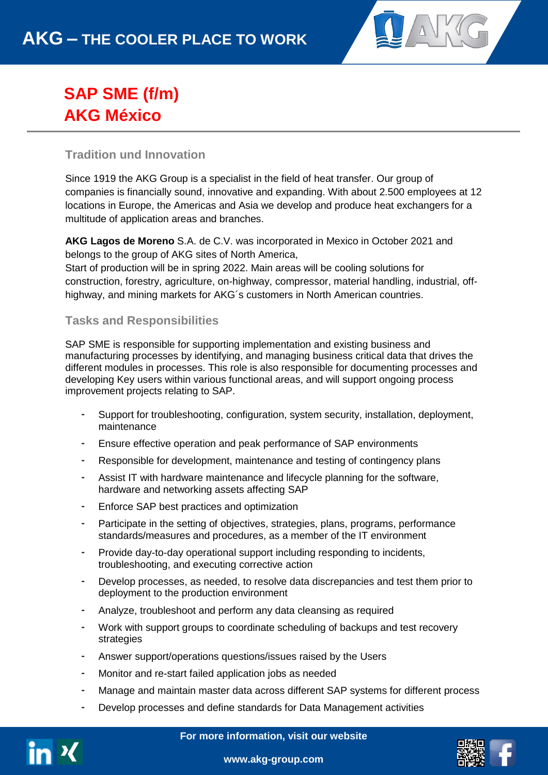

# **SAP SME (f/m) AKG México**

## **Tradition und Innovation**

Since 1919 the AKG Group is a specialist in the field of heat transfer. Our group of companies is financially sound, innovative and expanding. With about 2.500 employees at 12 locations in Europe, the Americas and Asia we develop and produce heat exchangers for a multitude of application areas and branches.

**AKG Lagos de Moreno** S.A. de C.V. was incorporated in Mexico in October 2021 and belongs to the group of AKG sites of North America, Start of production will be in spring 2022. Main areas will be cooling solutions for construction, forestry, agriculture, on-highway, compressor, material handling, industrial, offhighway, and mining markets for AKG´s customers in North American countries.

### **Tasks and Responsibilities**

SAP SME is responsible for supporting implementation and existing business and manufacturing processes by identifying, and managing business critical data that drives the different modules in processes. This role is also responsible for documenting processes and developing Key users within various functional areas, and will support ongoing process improvement projects relating to SAP.

- Support for troubleshooting, configuration, system security, installation, deployment, maintenance
- Ensure effective operation and peak performance of SAP environments
- Responsible for development, maintenance and testing of contingency plans
- Assist IT with hardware maintenance and lifecycle planning for the software, hardware and networking assets affecting SAP
- Enforce SAP best practices and optimization
- Participate in the setting of objectives, strategies, plans, programs, performance standards/measures and procedures, as a member of the IT environment
- Provide day-to-day operational support including responding to incidents, troubleshooting, and executing corrective action
- Develop processes, as needed, to resolve data discrepancies and test them prior to deployment to the production environment
- Analyze, troubleshoot and perform any data cleansing as required
- Work with support groups to coordinate scheduling of backups and test recovery strategies
- Answer support/operations questions/issues raised by the Users
- Monitor and re-start failed application jobs as needed
- Manage and maintain master data across different SAP systems for different process
- Develop processes and define standards for Data Management activities



**For more information, visit our website**



**www.akg-group.com**